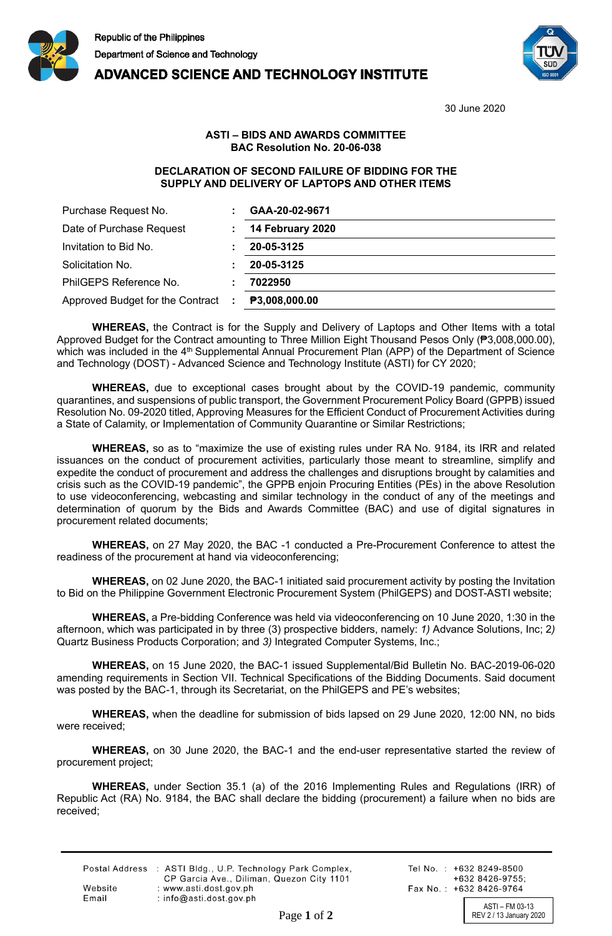

## **ADVANCED SCIENCE AND TECHNOLOGY INSTITUTE**



30 June 2020

## **ASTI – BIDS AND AWARDS COMMITTEE BAC Resolution No. 20-06-038**

## **DECLARATION OF SECOND FAILURE OF BIDDING FOR THE SUPPLY AND DELIVERY OF LAPTOPS AND OTHER ITEMS**

| Purchase Request No.               | GAA-20-02-9671   |
|------------------------------------|------------------|
| Date of Purchase Request           | 14 February 2020 |
| Invitation to Bid No.              | 20-05-3125       |
| Solicitation No.                   | 20-05-3125       |
| PhilGEPS Reference No.             | 7022950          |
| Approved Budget for the Contract : | ₱3,008,000.00    |

**WHEREAS,** the Contract is for the Supply and Delivery of Laptops and Other Items with a total Approved Budget for the Contract amounting to Three Million Eight Thousand Pesos Only (₱3,008,000.00), which was included in the 4<sup>th</sup> Supplemental Annual Procurement Plan (APP) of the Department of Science and Technology (DOST) - Advanced Science and Technology Institute (ASTI) for CY 2020;

**WHEREAS,** due to exceptional cases brought about by the COVID-19 pandemic, community quarantines, and suspensions of public transport, the Government Procurement Policy Board (GPPB) issued Resolution No. 09-2020 titled, Approving Measures for the Efficient Conduct of Procurement Activities during a State of Calamity, or Implementation of Community Quarantine or Similar Restrictions;

**WHEREAS,** so as to "maximize the use of existing rules under RA No. 9184, its IRR and related issuances on the conduct of procurement activities, particularly those meant to streamline, simplify and expedite the conduct of procurement and address the challenges and disruptions brought by calamities and crisis such as the COVID-19 pandemic", the GPPB enjoin Procuring Entities (PEs) in the above Resolution to use videoconferencing, webcasting and similar technology in the conduct of any of the meetings and determination of quorum by the Bids and Awards Committee (BAC) and use of digital signatures in procurement related documents;

**WHEREAS,** on 27 May 2020, the BAC -1 conducted a Pre-Procurement Conference to attest the readiness of the procurement at hand via videoconferencing;

**WHEREAS,** on 02 June 2020, the BAC-1 initiated said procurement activity by posting the Invitation to Bid on the Philippine Government Electronic Procurement System (PhilGEPS) and DOST-ASTI website;

**WHEREAS,** a Pre-bidding Conference was held via videoconferencing on 10 June 2020, 1:30 in the afternoon, which was participated in by three (3) prospective bidders, namely: *1)* Advance Solutions, Inc; 2*)*  Quartz Business Products Corporation; and *3)* Integrated Computer Systems, Inc.;

**WHEREAS,** on 15 June 2020, the BAC-1 issued Supplemental/Bid Bulletin No. BAC-2019-06-020 amending requirements in Section VII. Technical Specifications of the Bidding Documents. Said document was posted by the BAC-1, through its Secretariat, on the PhilGEPS and PE's websites;

**WHEREAS,** when the deadline for submission of bids lapsed on 29 June 2020, 12:00 NN, no bids were received;

**WHEREAS,** on 30 June 2020, the BAC-1 and the end-user representative started the review of procurement project;

**WHEREAS,** under Section 35.1 (a) of the 2016 Implementing Rules and Regulations (IRR) of Republic Act (RA) No. 9184, the BAC shall declare the bidding (procurement) a failure when no bids are received;

|         | Postal Address : ASTI Bldg., U.P. Technology Park Complex, |
|---------|------------------------------------------------------------|
|         | CP Garcia Ave., Diliman, Quezon City 1101                  |
| Website | : www.asti.dost.gov.ph                                     |
| Email   | $:$ info@asti.dost.gov.ph                                  |